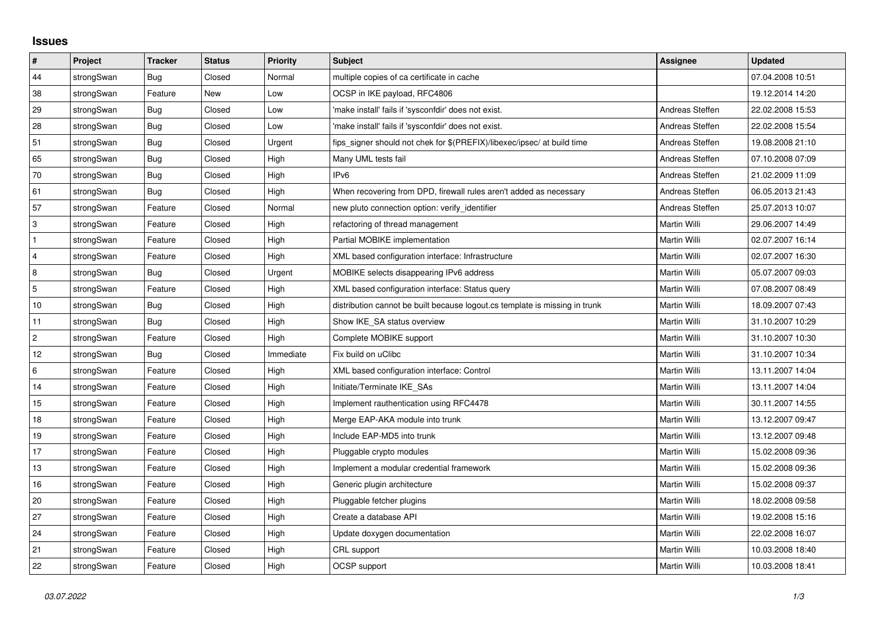## **Issues**

| $\vert$ #      | Project    | <b>Tracker</b> | <b>Status</b> | <b>Priority</b> | <b>Subject</b>                                                              | <b>Assignee</b> | <b>Updated</b>   |
|----------------|------------|----------------|---------------|-----------------|-----------------------------------------------------------------------------|-----------------|------------------|
| 44             | strongSwan | Bug            | Closed        | Normal          | multiple copies of ca certificate in cache                                  |                 | 07.04.2008 10:51 |
| 38             | strongSwan | Feature        | New           | Low             | OCSP in IKE payload, RFC4806                                                |                 | 19.12.2014 14:20 |
| 29             | strongSwan | <b>Bug</b>     | Closed        | Low             | 'make install' fails if 'sysconfdir' does not exist.                        | Andreas Steffen | 22.02.2008 15:53 |
| 28             | strongSwan | Bug            | Closed        | Low             | 'make install' fails if 'sysconfdir' does not exist.                        | Andreas Steffen | 22.02.2008 15:54 |
| 51             | strongSwan | Bug            | Closed        | Urgent          | fips_signer should not chek for \$(PREFIX)/libexec/ipsec/ at build time     | Andreas Steffen | 19.08.2008 21:10 |
| 65             | strongSwan | <b>Bug</b>     | Closed        | High            | Many UML tests fail                                                         | Andreas Steffen | 07.10.2008 07:09 |
| 70             | strongSwan | Bug            | Closed        | High            | IPv <sub>6</sub>                                                            | Andreas Steffen | 21.02.2009 11:09 |
| 61             | strongSwan | Bug            | Closed        | High            | When recovering from DPD, firewall rules aren't added as necessary          | Andreas Steffen | 06.05.2013 21:43 |
| 57             | strongSwan | Feature        | Closed        | Normal          | new pluto connection option: verify identifier                              | Andreas Steffen | 25.07.2013 10:07 |
| 3              | strongSwan | Feature        | Closed        | High            | refactoring of thread management                                            | Martin Willi    | 29.06.2007 14:49 |
| $\mathbf{1}$   | strongSwan | Feature        | Closed        | High            | Partial MOBIKE implementation                                               | Martin Willi    | 02.07.2007 16:14 |
| 4              | strongSwan | Feature        | Closed        | High            | XML based configuration interface: Infrastructure                           | Martin Willi    | 02.07.2007 16:30 |
| 8              | strongSwan | Bug            | Closed        | Urgent          | MOBIKE selects disappearing IPv6 address                                    | Martin Willi    | 05.07.2007 09:03 |
| 5              | strongSwan | Feature        | Closed        | High            | XML based configuration interface: Status query                             | Martin Willi    | 07.08.2007 08:49 |
| $10$           | strongSwan | Bug            | Closed        | High            | distribution cannot be built because logout.cs template is missing in trunk | Martin Willi    | 18.09.2007 07:43 |
| 11             | strongSwan | Bug            | Closed        | High            | Show IKE_SA status overview                                                 | Martin Willi    | 31.10.2007 10:29 |
| $\overline{2}$ | strongSwan | Feature        | Closed        | High            | Complete MOBIKE support                                                     | Martin Willi    | 31.10.2007 10:30 |
| 12             | strongSwan | Bug            | Closed        | Immediate       | Fix build on uClibc                                                         | Martin Willi    | 31.10.2007 10:34 |
| 6              | strongSwan | Feature        | Closed        | High            | XML based configuration interface: Control                                  | Martin Willi    | 13.11.2007 14:04 |
| 14             | strongSwan | Feature        | Closed        | High            | Initiate/Terminate IKE_SAs                                                  | Martin Willi    | 13.11.2007 14:04 |
| 15             | strongSwan | Feature        | Closed        | High            | Implement rauthentication using RFC4478                                     | Martin Willi    | 30.11.2007 14:55 |
| 18             | strongSwan | Feature        | Closed        | High            | Merge EAP-AKA module into trunk                                             | Martin Willi    | 13.12.2007 09:47 |
| 19             | strongSwan | Feature        | Closed        | High            | Include EAP-MD5 into trunk                                                  | Martin Willi    | 13.12.2007 09:48 |
| 17             | strongSwan | Feature        | Closed        | High            | Pluggable crypto modules                                                    | Martin Willi    | 15.02.2008 09:36 |
| $13$           | strongSwan | Feature        | Closed        | High            | Implement a modular credential framework                                    | Martin Willi    | 15.02.2008 09:36 |
| 16             | strongSwan | Feature        | Closed        | High            | Generic plugin architecture                                                 | Martin Willi    | 15.02.2008 09:37 |
| 20             | strongSwan | Feature        | Closed        | High            | Pluggable fetcher plugins                                                   | Martin Willi    | 18.02.2008 09:58 |
| 27             | strongSwan | Feature        | Closed        | High            | Create a database API                                                       | Martin Willi    | 19.02.2008 15:16 |
| 24             | strongSwan | Feature        | Closed        | High            | Update doxygen documentation                                                | Martin Willi    | 22.02.2008 16:07 |
| 21             | strongSwan | Feature        | Closed        | High            | CRL support                                                                 | Martin Willi    | 10.03.2008 18:40 |
| 22             | strongSwan | Feature        | Closed        | High            | OCSP support                                                                | Martin Willi    | 10.03.2008 18:41 |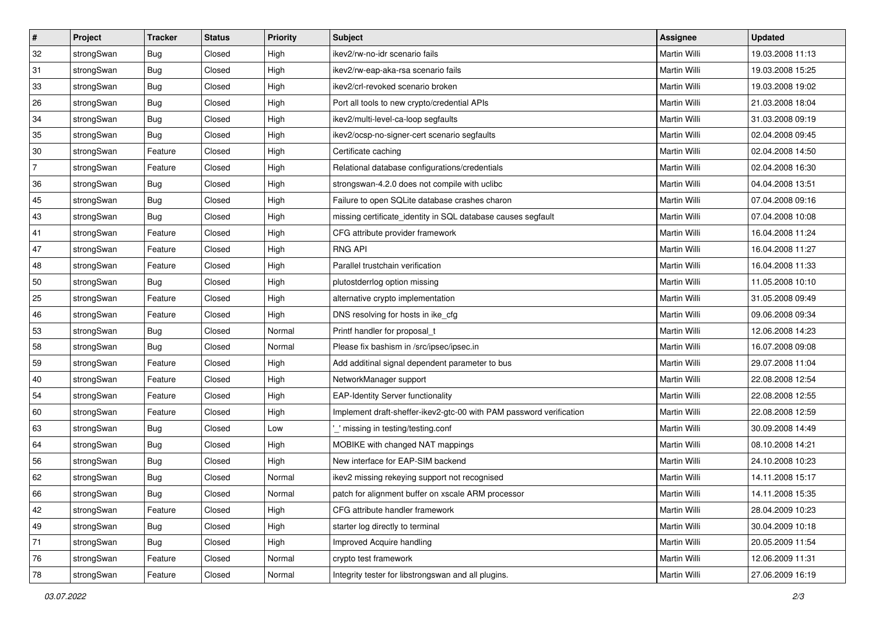| $\vert$ #      | Project    | <b>Tracker</b> | <b>Status</b> | <b>Priority</b> | <b>Subject</b>                                                      | Assignee            | <b>Updated</b>   |
|----------------|------------|----------------|---------------|-----------------|---------------------------------------------------------------------|---------------------|------------------|
| 32             | strongSwan | Bug            | Closed        | High            | ikev2/rw-no-idr scenario fails                                      | Martin Willi        | 19.03.2008 11:13 |
| 31             | strongSwan | Bug            | Closed        | High            | ikev2/rw-eap-aka-rsa scenario fails                                 | <b>Martin Willi</b> | 19.03.2008 15:25 |
| 33             | strongSwan | <b>Bug</b>     | Closed        | High            | ikev2/crl-revoked scenario broken                                   | Martin Willi        | 19.03.2008 19:02 |
| 26             | strongSwan | <b>Bug</b>     | Closed        | High            | Port all tools to new crypto/credential APIs                        | Martin Willi        | 21.03.2008 18:04 |
| 34             | strongSwan | Bug            | Closed        | High            | ikev2/multi-level-ca-loop segfaults                                 | Martin Willi        | 31.03.2008 09:19 |
| 35             | strongSwan | <b>Bug</b>     | Closed        | High            | ikev2/ocsp-no-signer-cert scenario segfaults                        | <b>Martin Willi</b> | 02.04.2008 09:45 |
| 30             | strongSwan | Feature        | Closed        | High            | Certificate caching                                                 | Martin Willi        | 02.04.2008 14:50 |
| $\overline{7}$ | strongSwan | Feature        | Closed        | High            | Relational database configurations/credentials                      | Martin Willi        | 02.04.2008 16:30 |
| 36             | strongSwan | Bug            | Closed        | High            | strongswan-4.2.0 does not compile with uclibc                       | Martin Willi        | 04.04.2008 13:51 |
| 45             | strongSwan | Bug            | Closed        | High            | Failure to open SQLite database crashes charon                      | Martin Willi        | 07.04.2008 09:16 |
| 43             | strongSwan | Bug            | Closed        | High            | missing certificate_identity in SQL database causes segfault        | Martin Willi        | 07.04.2008 10:08 |
| 41             | strongSwan | Feature        | Closed        | High            | CFG attribute provider framework                                    | Martin Willi        | 16.04.2008 11:24 |
| 47             | strongSwan | Feature        | Closed        | High            | <b>RNG API</b>                                                      | <b>Martin Willi</b> | 16.04.2008 11:27 |
| 48             | strongSwan | Feature        | Closed        | High            | Parallel trustchain verification                                    | Martin Willi        | 16.04.2008 11:33 |
| 50             | strongSwan | Bug            | Closed        | High            | plutostderrlog option missing                                       | <b>Martin Willi</b> | 11.05.2008 10:10 |
| 25             | strongSwan | Feature        | Closed        | High            | alternative crypto implementation                                   | Martin Willi        | 31.05.2008 09:49 |
| 46             | strongSwan | Feature        | Closed        | High            | DNS resolving for hosts in ike_cfg                                  | <b>Martin Willi</b> | 09.06.2008 09:34 |
| 53             | strongSwan | Bug            | Closed        | Normal          | Printf handler for proposal_t                                       | <b>Martin Willi</b> | 12.06.2008 14:23 |
| 58             | strongSwan | <b>Bug</b>     | Closed        | Normal          | Please fix bashism in /src/ipsec/ipsec.in                           | Martin Willi        | 16.07.2008 09:08 |
| 59             | strongSwan | Feature        | Closed        | High            | Add additinal signal dependent parameter to bus                     | Martin Willi        | 29.07.2008 11:04 |
| 40             | strongSwan | Feature        | Closed        | High            | NetworkManager support                                              | Martin Willi        | 22.08.2008 12:54 |
| 54             | strongSwan | Feature        | Closed        | High            | <b>EAP-Identity Server functionality</b>                            | Martin Willi        | 22.08.2008 12:55 |
| 60             | strongSwan | Feature        | Closed        | High            | Implement draft-sheffer-ikev2-gtc-00 with PAM password verification | Martin Willi        | 22.08.2008 12:59 |
| 63             | strongSwan | <b>Bug</b>     | Closed        | Low             | missing in testing/testing.conf                                     | Martin Willi        | 30.09.2008 14:49 |
| 64             | strongSwan | <b>Bug</b>     | Closed        | High            | MOBIKE with changed NAT mappings                                    | Martin Willi        | 08.10.2008 14:21 |
| 56             | strongSwan | <b>Bug</b>     | Closed        | High            | New interface for EAP-SIM backend                                   | Martin Willi        | 24.10.2008 10:23 |
| 62             | strongSwan | Bug            | Closed        | Normal          | ikev2 missing rekeying support not recognised                       | Martin Willi        | 14.11.2008 15:17 |
| 66             | strongSwan | Bug            | Closed        | Normal          | patch for alignment buffer on xscale ARM processor                  | Martin Willi        | 14.11.2008 15:35 |
| 42             | strongSwan | Feature        | Closed        | High            | CFG attribute handler framework                                     | Martin Willi        | 28.04.2009 10:23 |
| 49             | strongSwan | Bug            | Closed        | High            | starter log directly to terminal                                    | Martin Willi        | 30.04.2009 10:18 |
| 71             | strongSwan | <b>Bug</b>     | Closed        | High            | Improved Acquire handling                                           | Martin Willi        | 20.05.2009 11:54 |
| 76             | strongSwan | Feature        | Closed        | Normal          | crypto test framework                                               | Martin Willi        | 12.06.2009 11:31 |
| 78             | strongSwan | Feature        | Closed        | Normal          | Integrity tester for libstrongswan and all plugins.                 | Martin Willi        | 27.06.2009 16:19 |